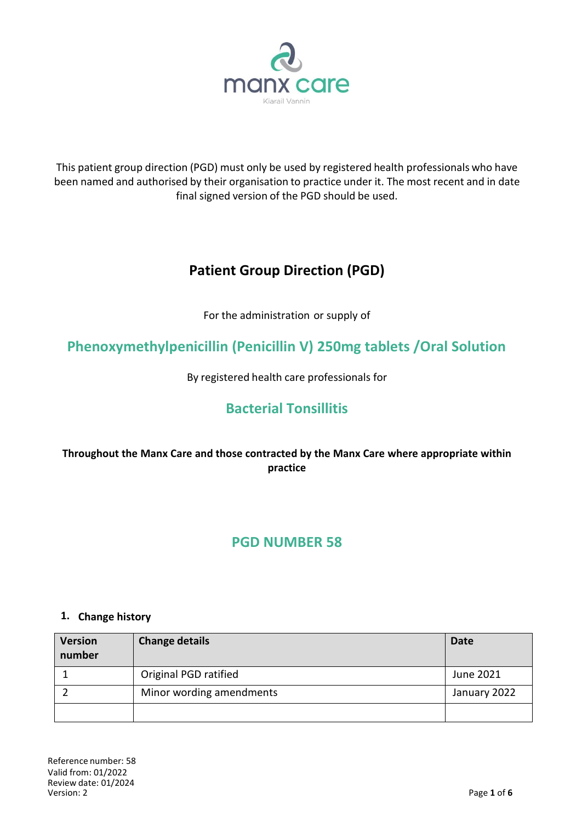

This patient group direction (PGD) must only be used by registered health professionals who have been named and authorised by their organisation to practice under it. The most recent and in date final signed version of the PGD should be used.

# **Patient Group Direction (PGD)**

For the administration or supply of

**Phenoxymethylpenicillin (Penicillin V) 250mg tablets /Oral Solution**

By registered health care professionals for

# **Bacterial Tonsillitis**

## **Throughout the Manx Care and those contracted by the Manx Care where appropriate within practice**

# **PGD NUMBER 58**

### **1. Change history**

| <b>Version</b><br>number | <b>Change details</b>    | <b>Date</b>  |
|--------------------------|--------------------------|--------------|
|                          | Original PGD ratified    | June 2021    |
|                          | Minor wording amendments | January 2022 |
|                          |                          |              |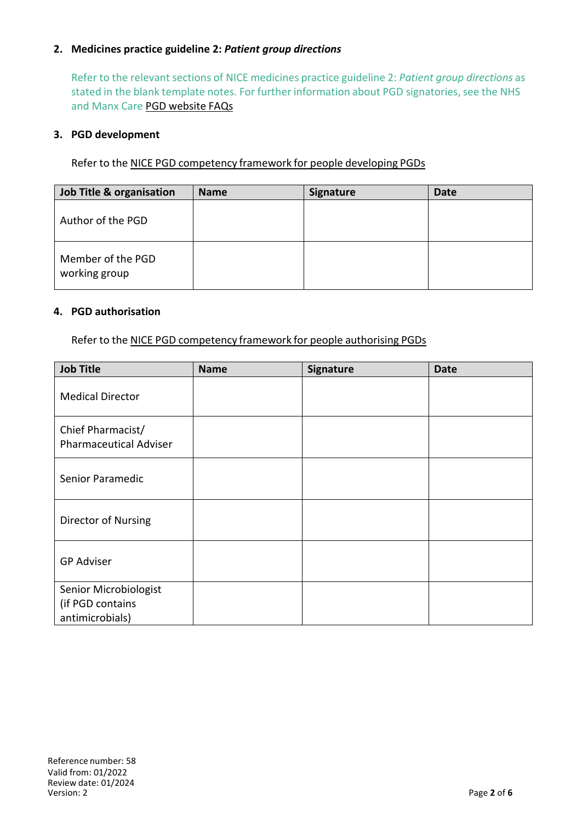### **2. Medicines practice guideline 2:** *Patient group directions*

Refer to the relevant sections of NICE medicines practice guideline 2: *Patient group directions* as stated in the blank template notes. For further information about PGD signatories, see the NHS and Manx Care PGD website FAQs

#### **3. PGD development**

Refer to the NICE PGD competency framework for people developing PGDs

| Job Title & organisation           | <b>Name</b> | <b>Signature</b> | <b>Date</b> |
|------------------------------------|-------------|------------------|-------------|
| Author of the PGD                  |             |                  |             |
| Member of the PGD<br>working group |             |                  |             |

#### **4. PGD authorisation**

Refer to the NICE PGD competency framework for people authorising PGDs

| <b>Job Title</b>                                             | <b>Name</b> | Signature | <b>Date</b> |
|--------------------------------------------------------------|-------------|-----------|-------------|
| <b>Medical Director</b>                                      |             |           |             |
| Chief Pharmacist/<br><b>Pharmaceutical Adviser</b>           |             |           |             |
| Senior Paramedic                                             |             |           |             |
| Director of Nursing                                          |             |           |             |
| <b>GP Adviser</b>                                            |             |           |             |
| Senior Microbiologist<br>(if PGD contains<br>antimicrobials) |             |           |             |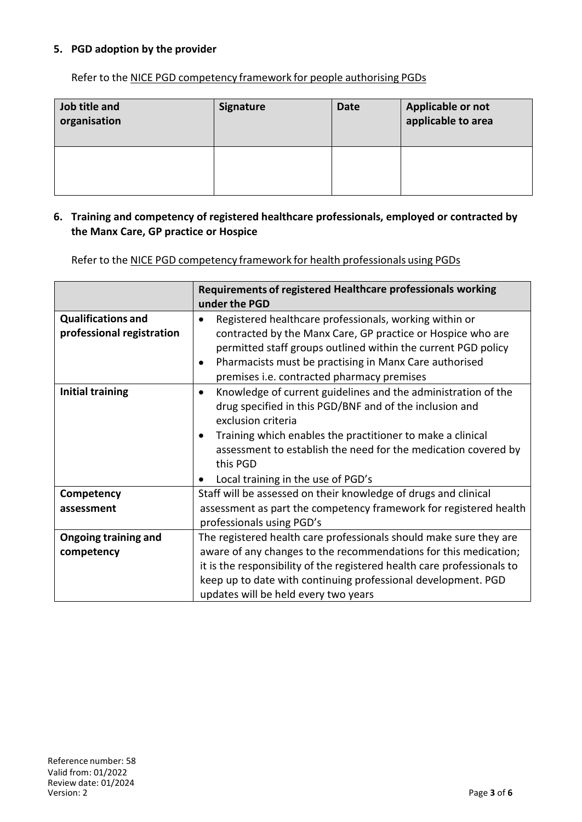### **5. PGD adoption by the provider**

Refer to the NICE PGD [competency](http://www.nice.org.uk/guidance/mpg2/resources/mpg2-patient-group-directions5) framework for people authorising PGDs

| Job title and<br>organisation | <b>Signature</b> | <b>Date</b> | Applicable or not<br>applicable to area |
|-------------------------------|------------------|-------------|-----------------------------------------|
|                               |                  |             |                                         |

#### **6. Training and competency of registered healthcare professionals, employed or contracted by the Manx Care, GP practice or Hospice**

Refer to the NICE PGD competency framework for health professionals using PGDs

|                                                        | Requirements of registered Healthcare professionals working<br>under the PGD                                                                                                                                                                                                                                                                  |  |  |
|--------------------------------------------------------|-----------------------------------------------------------------------------------------------------------------------------------------------------------------------------------------------------------------------------------------------------------------------------------------------------------------------------------------------|--|--|
| <b>Qualifications and</b><br>professional registration | Registered healthcare professionals, working within or<br>contracted by the Manx Care, GP practice or Hospice who are<br>permitted staff groups outlined within the current PGD policy<br>Pharmacists must be practising in Manx Care authorised<br>premises i.e. contracted pharmacy premises                                                |  |  |
| <b>Initial training</b>                                | Knowledge of current guidelines and the administration of the<br>$\bullet$<br>drug specified in this PGD/BNF and of the inclusion and<br>exclusion criteria<br>Training which enables the practitioner to make a clinical<br>assessment to establish the need for the medication covered by<br>this PGD<br>Local training in the use of PGD's |  |  |
| Competency                                             | Staff will be assessed on their knowledge of drugs and clinical                                                                                                                                                                                                                                                                               |  |  |
| assessment                                             | assessment as part the competency framework for registered health<br>professionals using PGD's                                                                                                                                                                                                                                                |  |  |
| <b>Ongoing training and</b>                            | The registered health care professionals should make sure they are                                                                                                                                                                                                                                                                            |  |  |
| competency                                             | aware of any changes to the recommendations for this medication;                                                                                                                                                                                                                                                                              |  |  |
|                                                        | it is the responsibility of the registered health care professionals to                                                                                                                                                                                                                                                                       |  |  |
|                                                        | keep up to date with continuing professional development. PGD                                                                                                                                                                                                                                                                                 |  |  |
|                                                        | updates will be held every two years                                                                                                                                                                                                                                                                                                          |  |  |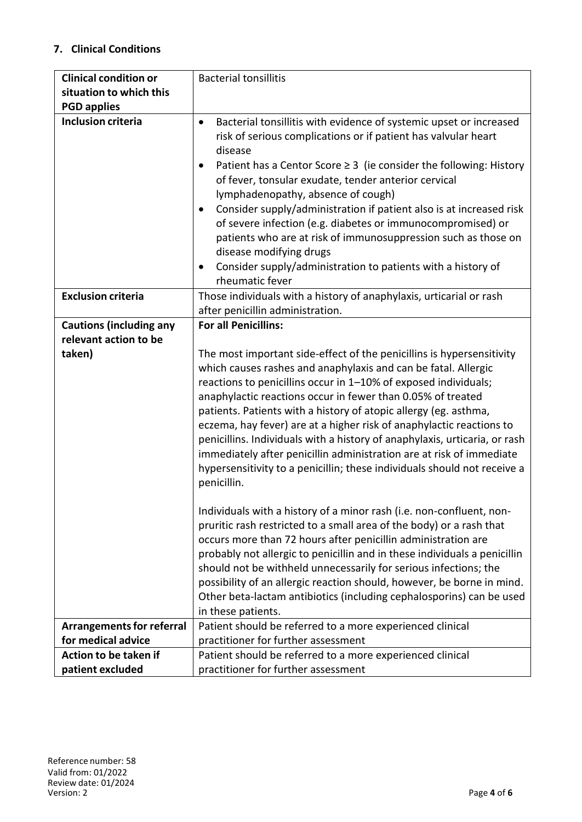## **7. Clinical Conditions**

| <b>Clinical condition or</b>     | <b>Bacterial tonsillitis</b>                                                                                                                                                                                                                                                                                                                                                                                                                                                                                                                                                                                                                                             |  |
|----------------------------------|--------------------------------------------------------------------------------------------------------------------------------------------------------------------------------------------------------------------------------------------------------------------------------------------------------------------------------------------------------------------------------------------------------------------------------------------------------------------------------------------------------------------------------------------------------------------------------------------------------------------------------------------------------------------------|--|
| situation to which this          |                                                                                                                                                                                                                                                                                                                                                                                                                                                                                                                                                                                                                                                                          |  |
| <b>PGD applies</b>               |                                                                                                                                                                                                                                                                                                                                                                                                                                                                                                                                                                                                                                                                          |  |
| <b>Inclusion criteria</b>        | Bacterial tonsillitis with evidence of systemic upset or increased<br>$\bullet$<br>risk of serious complications or if patient has valvular heart<br>disease<br>Patient has a Centor Score $\geq$ 3 (ie consider the following: History<br>$\bullet$<br>of fever, tonsular exudate, tender anterior cervical<br>lymphadenopathy, absence of cough)<br>Consider supply/administration if patient also is at increased risk<br>of severe infection (e.g. diabetes or immunocompromised) or<br>patients who are at risk of immunosuppression such as those on<br>disease modifying drugs<br>Consider supply/administration to patients with a history of<br>rheumatic fever |  |
| <b>Exclusion criteria</b>        | Those individuals with a history of anaphylaxis, urticarial or rash<br>after penicillin administration.                                                                                                                                                                                                                                                                                                                                                                                                                                                                                                                                                                  |  |
| <b>Cautions (including any</b>   | <b>For all Penicillins:</b>                                                                                                                                                                                                                                                                                                                                                                                                                                                                                                                                                                                                                                              |  |
| relevant action to be            |                                                                                                                                                                                                                                                                                                                                                                                                                                                                                                                                                                                                                                                                          |  |
| taken)                           | The most important side-effect of the penicillins is hypersensitivity<br>which causes rashes and anaphylaxis and can be fatal. Allergic<br>reactions to penicillins occur in 1-10% of exposed individuals;<br>anaphylactic reactions occur in fewer than 0.05% of treated<br>patients. Patients with a history of atopic allergy (eg. asthma,<br>eczema, hay fever) are at a higher risk of anaphylactic reactions to<br>penicillins. Individuals with a history of anaphylaxis, urticaria, or rash<br>immediately after penicillin administration are at risk of immediate<br>hypersensitivity to a penicillin; these individuals should not receive a<br>penicillin.   |  |
|                                  | Individuals with a history of a minor rash (i.e. non-confluent, non-<br>pruritic rash restricted to a small area of the body) or a rash that<br>occurs more than 72 hours after penicillin administration are<br>probably not allergic to penicillin and in these individuals a penicillin<br>should not be withheld unnecessarily for serious infections; the<br>possibility of an allergic reaction should, however, be borne in mind.<br>Other beta-lactam antibiotics (including cephalosporins) can be used<br>in these patients.                                                                                                                                   |  |
| <b>Arrangements for referral</b> | Patient should be referred to a more experienced clinical                                                                                                                                                                                                                                                                                                                                                                                                                                                                                                                                                                                                                |  |
| for medical advice               | practitioner for further assessment                                                                                                                                                                                                                                                                                                                                                                                                                                                                                                                                                                                                                                      |  |
| Action to be taken if            | Patient should be referred to a more experienced clinical                                                                                                                                                                                                                                                                                                                                                                                                                                                                                                                                                                                                                |  |
| patient excluded                 | practitioner for further assessment                                                                                                                                                                                                                                                                                                                                                                                                                                                                                                                                                                                                                                      |  |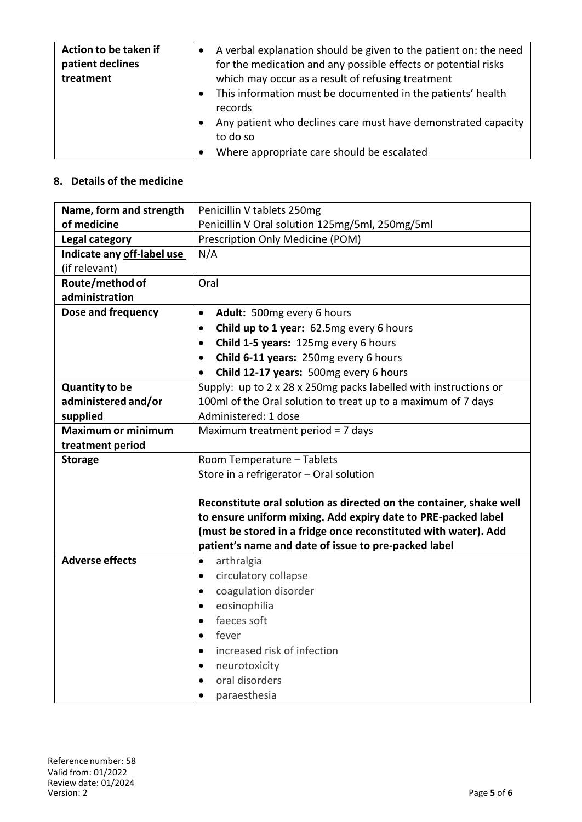| Action to be taken if<br>patient declines<br>treatment | A verbal explanation should be given to the patient on: the need<br>for the medication and any possible effects or potential risks<br>which may occur as a result of refusing treatment |
|--------------------------------------------------------|-----------------------------------------------------------------------------------------------------------------------------------------------------------------------------------------|
|                                                        | This information must be documented in the patients' health<br>records                                                                                                                  |
|                                                        | Any patient who declines care must have demonstrated capacity<br>to do so                                                                                                               |
|                                                        | Where appropriate care should be escalated                                                                                                                                              |

## **8. Details of the medicine**

| Name, form and strength    | Penicillin V tablets 250mg                                          |  |  |
|----------------------------|---------------------------------------------------------------------|--|--|
| of medicine                | Penicillin V Oral solution 125mg/5ml, 250mg/5ml                     |  |  |
| Legal category             | Prescription Only Medicine (POM)                                    |  |  |
| Indicate any off-label use | N/A                                                                 |  |  |
| (if relevant)              |                                                                     |  |  |
| Route/method of            | Oral                                                                |  |  |
| administration             |                                                                     |  |  |
| Dose and frequency         | Adult: 500mg every 6 hours<br>$\bullet$                             |  |  |
|                            | Child up to 1 year: 62.5mg every 6 hours<br>$\bullet$               |  |  |
|                            | Child 1-5 years: 125mg every 6 hours<br>$\bullet$                   |  |  |
|                            | Child 6-11 years: 250mg every 6 hours<br>$\bullet$                  |  |  |
|                            | Child 12-17 years: 500mg every 6 hours<br>$\bullet$                 |  |  |
| <b>Quantity to be</b>      | Supply: up to 2 x 28 x 250mg packs labelled with instructions or    |  |  |
| administered and/or        | 100ml of the Oral solution to treat up to a maximum of 7 days       |  |  |
| supplied                   | Administered: 1 dose                                                |  |  |
| <b>Maximum or minimum</b>  | Maximum treatment period = 7 days                                   |  |  |
| treatment period           |                                                                     |  |  |
| <b>Storage</b>             | Room Temperature - Tablets                                          |  |  |
|                            | Store in a refrigerator - Oral solution                             |  |  |
|                            |                                                                     |  |  |
|                            | Reconstitute oral solution as directed on the container, shake well |  |  |
|                            | to ensure uniform mixing. Add expiry date to PRE-packed label       |  |  |
|                            | (must be stored in a fridge once reconstituted with water). Add     |  |  |
|                            | patient's name and date of issue to pre-packed label                |  |  |
| <b>Adverse effects</b>     | arthralgia<br>$\bullet$                                             |  |  |
|                            | circulatory collapse<br>$\bullet$                                   |  |  |
|                            | coagulation disorder<br>$\bullet$                                   |  |  |
|                            | eosinophilia<br>$\bullet$                                           |  |  |
|                            | faeces soft                                                         |  |  |
|                            | fever<br>$\bullet$                                                  |  |  |
|                            | increased risk of infection<br>٠                                    |  |  |
|                            | neurotoxicity<br>٠                                                  |  |  |
|                            | oral disorders<br>$\bullet$                                         |  |  |
|                            | paraesthesia                                                        |  |  |